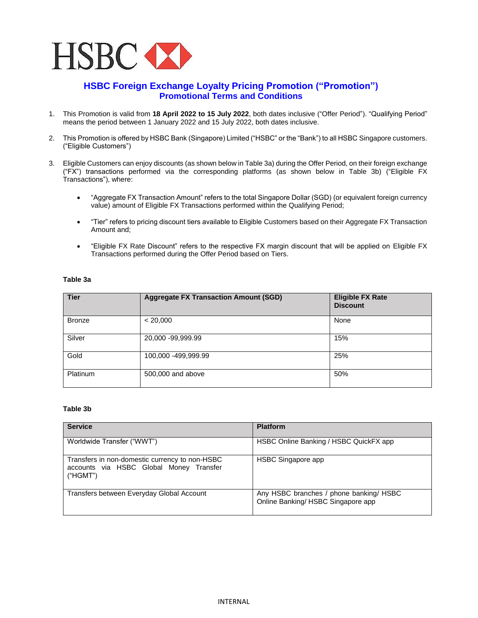

## **HSBC Foreign Exchange Loyalty Pricing Promotion ("Promotion") Promotional Terms and Conditions**

- 1. This Promotion is valid from **18 April 2022 to 15 July 2022**, both dates inclusive ("Offer Period"). "Qualifying Period" means the period between 1 January 2022 and 15 July 2022, both dates inclusive.
- 2. This Promotion is offered by HSBC Bank (Singapore) Limited ("HSBC" or the "Bank") to all HSBC Singapore customers. ("Eligible Customers")
- 3. Eligible Customers can enjoy discounts (as shown below in Table 3a) during the Offer Period, on their foreign exchange ("FX") transactions performed via the corresponding platforms (as shown below in Table 3b) ("Eligible FX Transactions"), where:
	- "Aggregate FX Transaction Amount" refers to the total Singapore Dollar (SGD) (or equivalent foreign currency value) amount of Eligible FX Transactions performed within the Qualifying Period;
	- "Tier" refers to pricing discount tiers available to Eligible Customers based on their Aggregate FX Transaction Amount and;
	- "Eligible FX Rate Discount" refers to the respective FX margin discount that will be applied on Eligible FX Transactions performed during the Offer Period based on Tiers.

## **Table 3a**

| <b>Tier</b>   | <b>Aggregate FX Transaction Amount (SGD)</b> | <b>Eligible FX Rate</b><br><b>Discount</b> |
|---------------|----------------------------------------------|--------------------------------------------|
| <b>Bronze</b> | < 20,000                                     | None                                       |
| Silver        | 20,000 -99,999.99                            | 15%                                        |
| Gold          | 100,000 -499,999.99                          | 25%                                        |
| Platinum      | 500,000 and above                            | 50%                                        |

## **Table 3b**

| <b>Service</b>                                                                                        | <b>Platform</b>                                                               |
|-------------------------------------------------------------------------------------------------------|-------------------------------------------------------------------------------|
| Worldwide Transfer ("WWT")                                                                            | HSBC Online Banking / HSBC QuickFX app                                        |
| Transfers in non-domestic currency to non-HSBC<br>accounts via HSBC Global Money Transfer<br>("HGMT") | HSBC Singapore app                                                            |
| Transfers between Everyday Global Account                                                             | Any HSBC branches / phone banking/ HSBC<br>Online Banking/ HSBC Singapore app |